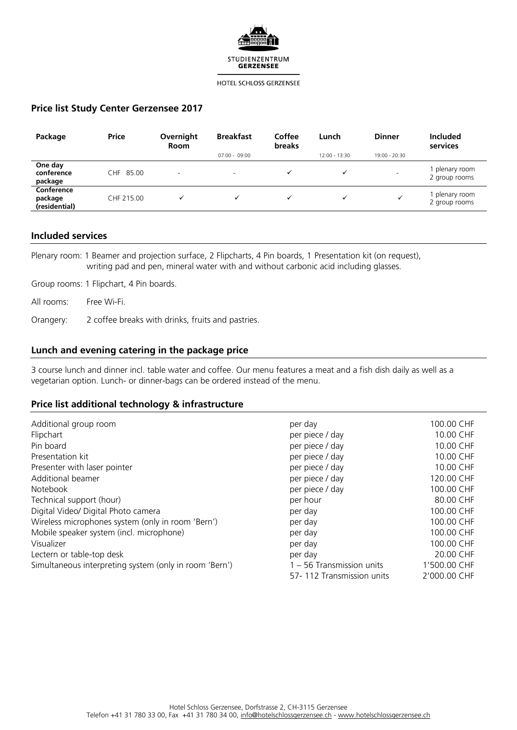

# **Price list Study Center Gerzensee 2017**

| Package                                | <b>Price</b> | Overnight<br><b>Room</b> | <b>Breakfast</b>         | Coffee<br><b>breaks</b> | Lunch           | <b>Dinner</b>            | <b>Included</b><br>services   |
|----------------------------------------|--------------|--------------------------|--------------------------|-------------------------|-----------------|--------------------------|-------------------------------|
|                                        |              |                          | $07:00 - 09:00$          |                         | $12:00 - 13:30$ | 19:00 - 20:30            |                               |
| One day<br>conference<br>package       | CHF 85.00    | $\overline{\phantom{a}}$ | $\overline{\phantom{a}}$ |                         |                 | $\overline{\phantom{0}}$ | plenary room<br>2 group rooms |
| Conference<br>package<br>(residential) | CHF 215.00   | $\checkmark$             |                          |                         |                 | v                        | plenary room<br>2 group rooms |

## **Included services**

Plenary room: 1 Beamer and projection surface, 2 Flipcharts, 4 Pin boards, 1 Presentation kit (on request), writing pad and pen, mineral water with and without carbonic acid including glasses.

Group rooms: 1 Flipchart, 4 Pin boards.

All rooms: Free Wi-Fi.

Orangery: 2 coffee breaks with drinks, fruits and pastries.

# **Lunch and evening catering in the package price**

3 course lunch and dinner incl. table water and coffee. Our menu features a meat and a fish dish daily as well as a vegetarian option. Lunch- or dinner-bags can be ordered instead of the menu.

# **Price list additional technology & infrastructure**

| Additional group room                                  | per day                   | 100.00 CHF   |
|--------------------------------------------------------|---------------------------|--------------|
| Flipchart                                              | per piece / day           | 10.00 CHF    |
| Pin board                                              | per piece / day           | 10.00 CHF    |
| Presentation kit                                       | per piece / day           | 10.00 CHF    |
| Presenter with laser pointer                           | per piece / day           | 10.00 CHF    |
| Additional beamer                                      | per piece / day           | 120.00 CHF   |
| Notebook                                               | per piece / day           | 100.00 CHF   |
| Technical support (hour)                               | per hour                  | 80.00 CHF    |
| Digital Video/ Digital Photo camera                    | per day                   | 100.00 CHF   |
| Wireless microphones system (only in room 'Bern')      | per day                   | 100.00 CHF   |
| Mobile speaker system (incl. microphone)               | per day                   | 100.00 CHF   |
| Visualizer                                             | per day                   | 100.00 CHF   |
| Lectern or table-top desk                              | per day                   | 20.00 CHF    |
| Simultaneous interpreting system (only in room 'Bern') | 1 - 56 Transmission units | 1'500.00 CHF |
|                                                        | 57-112 Transmission units | 2'000.00 CHF |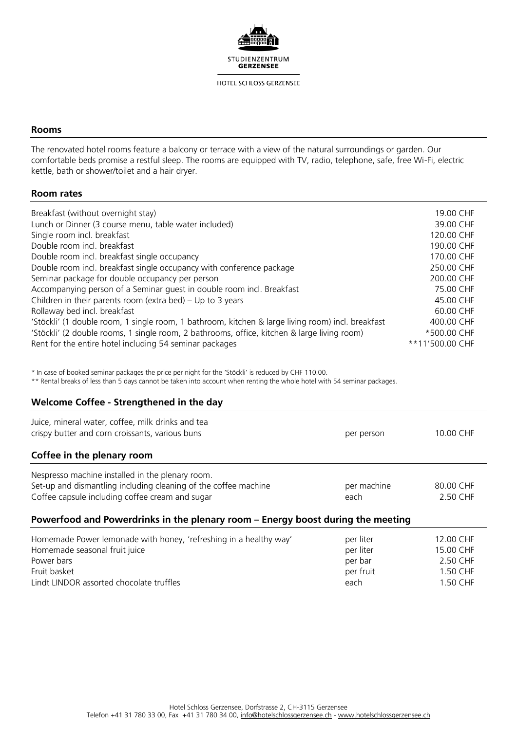

# **Rooms**

The renovated hotel rooms feature a balcony or terrace with a view of the natural surroundings or garden. Our comfortable beds promise a restful sleep. The rooms are equipped with TV, radio, telephone, safe, free Wi-Fi, electric kettle, bath or shower/toilet and a hair dryer.

# **Room rates**

| Breakfast (without overnight stay)                                                                | 19.00 CHF       |
|---------------------------------------------------------------------------------------------------|-----------------|
| Lunch or Dinner (3 course menu, table water included)                                             | 39.00 CHF       |
| Single room incl. breakfast                                                                       | 120.00 CHF      |
| Double room incl. breakfast                                                                       | 190.00 CHF      |
| Double room incl. breakfast single occupancy                                                      | 170.00 CHF      |
| Double room incl. breakfast single occupancy with conference package                              | 250.00 CHF      |
| Seminar package for double occupancy per person                                                   | 200.00 CHF      |
| Accompanying person of a Seminar quest in double room incl. Breakfast                             | 75.00 CHF       |
| Children in their parents room (extra bed) $-$ Up to 3 years                                      | 45.00 CHF       |
| Rollaway bed incl. breakfast                                                                      | 60.00 CHF       |
| 'Stöckli' (1 double room, 1 single room, 1 bathroom, kitchen & large living room) incl. breakfast | 400.00 CHF      |
| 'Stöckli' (2 double rooms, 1 single room, 2 bathrooms, office, kitchen & large living room)       | *500.00 CHF     |
| Rent for the entire hotel including 54 seminar packages                                           | **11'500.00 CHF |

\* In case of booked seminar packages the price per night for the 'Stöckli' is reduced by CHF 110.00.

\*\* Rental breaks of less than 5 days cannot be taken into account when renting the whole hotel with 54 seminar packages.

# **Welcome Coffee - Strengthened in the day**

| Juice, mineral water, coffee, milk drinks and tea<br>crispy butter and corn croissants, various buns                                                                   | per person          | 10.00 CHF             |  |  |
|------------------------------------------------------------------------------------------------------------------------------------------------------------------------|---------------------|-----------------------|--|--|
| Coffee in the plenary room                                                                                                                                             |                     |                       |  |  |
| Nespresso machine installed in the plenary room.<br>Set-up and dismantling including cleaning of the coffee machine<br>Coffee capsule including coffee cream and sugar | per machine<br>each | 80.00 CHF<br>2.50 CHF |  |  |
| Powerfood and Powerdrinks in the plenary room – Energy boost during the meeting                                                                                        |                     |                       |  |  |

| Homemade Power lemonade with honey, 'refreshing in a healthy way' | per liter | 12.00 CHF |
|-------------------------------------------------------------------|-----------|-----------|
| Homemade seasonal fruit juice                                     | per liter | 15.00 CHF |
| Power bars                                                        | per bar   | 2.50 CHF  |
| Fruit basket                                                      | per fruit | 1.50 CHF  |
| Lindt LINDOR assorted chocolate truffles                          | each      | 1.50 CHF  |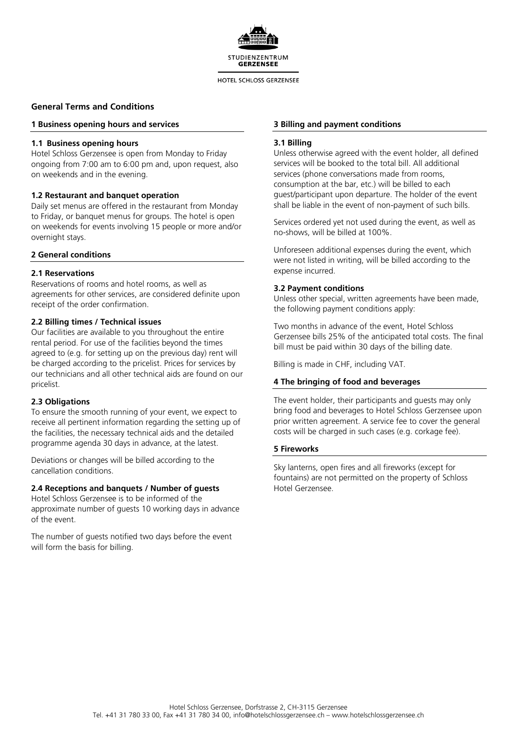

### **General Terms and Conditions**

#### **1 Business opening hours and services**

#### **1.1 Business opening hours**

Hotel Schloss Gerzensee is open from Monday to Friday ongoing from 7:00 am to 6:00 pm and, upon request, also on weekends and in the evening.

### **1.2 Restaurant and banquet operation**

Daily set menus are offered in the restaurant from Monday to Friday, or banquet menus for groups. The hotel is open on weekends for events involving 15 people or more and/or overnight stays.

# **2 General conditions**

### **2.1 Reservations**

Reservations of rooms and hotel rooms, as well as agreements for other services, are considered definite upon receipt of the order confirmation.

#### **2.2 Billing times / Technical issues**

Our facilities are available to you throughout the entire rental period. For use of the facilities beyond the times agreed to (e.g. for setting up on the previous day) rent will be charged according to the pricelist. Prices for services by our technicians and all other technical aids are found on our pricelist.

### **2.3 Obligations**

To ensure the smooth running of your event, we expect to receive all pertinent information regarding the setting up of the facilities, the necessary technical aids and the detailed programme agenda 30 days in advance, at the latest.

Deviations or changes will be billed according to the cancellation conditions.

## **2.4 Receptions and banquets / Number of guests**

Hotel Schloss Gerzensee is to be informed of the approximate number of guests 10 working days in advance of the event.

The number of guests notified two days before the event will form the basis for billing.

#### **3 Billing and payment conditions**

#### **3.1 Billing**

Unless otherwise agreed with the event holder, all defined services will be booked to the total bill. All additional services (phone conversations made from rooms, consumption at the bar, etc.) will be billed to each guest/participant upon departure. The holder of the event shall be liable in the event of non-payment of such bills.

Services ordered yet not used during the event, as well as no-shows, will be billed at 100%.

Unforeseen additional expenses during the event, which were not listed in writing, will be billed according to the expense incurred.

#### **3.2 Payment conditions**

Unless other special, written agreements have been made, the following payment conditions apply:

Two months in advance of the event, Hotel Schloss Gerzensee bills 25% of the anticipated total costs. The final bill must be paid within 30 days of the billing date.

Billing is made in CHF, including VAT.

### **4 The bringing of food and beverages**

The event holder, their participants and guests may only bring food and beverages to Hotel Schloss Gerzensee upon prior written agreement. A service fee to cover the general costs will be charged in such cases (e.g. corkage fee).

#### **5 Fireworks**

Sky lanterns, open fires and all fireworks (except for fountains) are not permitted on the property of Schloss Hotel Gerzensee.